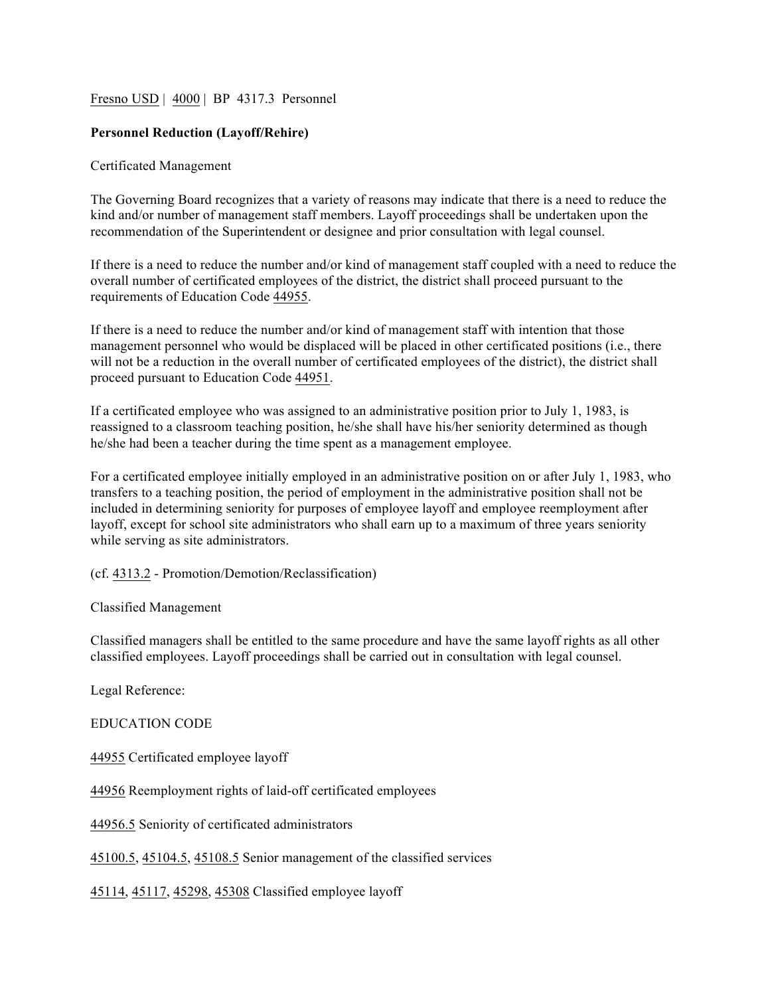### Fresno USD | 4000 | BP 4317.3 Personnel

## **Personnel Reduction (Layoff/Rehire)**

#### Certificated Management

The Governing Board recognizes that a variety of reasons may indicate that there is a need to reduce the kind and/or number of management staff members. Layoff proceedings shall be undertaken upon the recommendation of the Superintendent or designee and prior consultation with legal counsel.

If there is a need to reduce the number and/or kind of management staff coupled with a need to reduce the overall number of certificated employees of the district, the district shall proceed pursuant to the requirements of Education Code 44955.

If there is a need to reduce the number and/or kind of management staff with intention that those management personnel who would be displaced will be placed in other certificated positions (i.e., there will not be a reduction in the overall number of certificated employees of the district), the district shall proceed pursuant to Education Code 44951.

If a certificated employee who was assigned to an administrative position prior to July 1, 1983, is reassigned to a classroom teaching position, he/she shall have his/her seniority determined as though he/she had been a teacher during the time spent as a management employee.

For a certificated employee initially employed in an administrative position on or after July 1, 1983, who transfers to a teaching position, the period of employment in the administrative position shall not be included in determining seniority for purposes of employee layoff and employee reemployment after layoff, except for school site administrators who shall earn up to a maximum of three years seniority while serving as site administrators.

### (cf. 4313.2 - Promotion/Demotion/Reclassification)

#### Classified Management

Classified managers shall be entitled to the same procedure and have the same layoff rights as all other classified employees. Layoff proceedings shall be carried out in consultation with legal counsel.

Legal Reference:

EDUCATION CODE

44955 Certificated employee layoff

44956 Reemployment rights of laid-off certificated employees

44956.5 Seniority of certificated administrators

45100.5, 45104.5, 45108.5 Senior management of the classified services

45114, 45117, 45298, 45308 Classified employee layoff